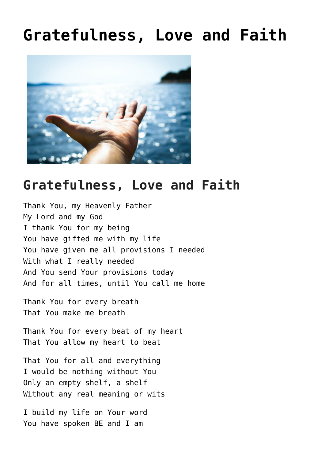## **[Gratefulness, Love and Faith](https://mysticoflove.com/gratefulness-love-and-faith/)**



## **Gratefulness, Love and Faith**

Thank You, my Heavenly Father My Lord and my God I thank You for my being You have gifted me with my life You have given me all provisions I needed With what I really needed And You send Your provisions today And for all times, until You call me home

Thank You for every breath That You make me breath

Thank You for every beat of my heart That You allow my heart to beat

That You for all and everything I would be nothing without You Only an empty shelf, a shelf Without any real meaning or wits

I build my life on Your word You have spoken BE and I am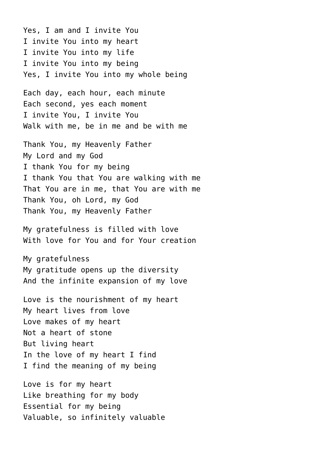Yes, I am and I invite You I invite You into my heart I invite You into my life I invite You into my being Yes, I invite You into my whole being

Each day, each hour, each minute Each second, yes each moment I invite You, I invite You Walk with me, be in me and be with me

Thank You, my Heavenly Father My Lord and my God I thank You for my being I thank You that You are walking with me That You are in me, that You are with me Thank You, oh Lord, my God Thank You, my Heavenly Father

My gratefulness is filled with love With love for You and for Your creation

My gratefulness My gratitude opens up the diversity And the infinite expansion of my love

Love is the nourishment of my heart My heart lives from love Love makes of my heart Not a heart of stone But living heart In the love of my heart I find I find the meaning of my being

Love is for my heart Like breathing for my body Essential for my being Valuable, so infinitely valuable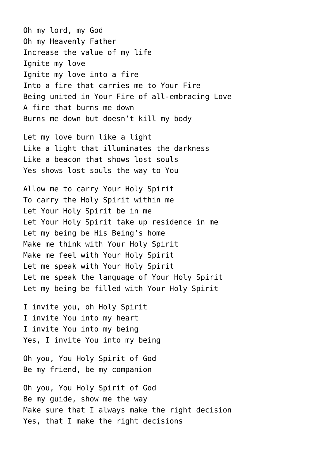Oh my lord, my God Oh my Heavenly Father Increase the value of my life Ignite my love Ignite my love into a fire Into a fire that carries me to Your Fire Being united in Your Fire of all-embracing Love A fire that burns me down Burns me down but doesn't kill my body

Let my love burn like a light Like a light that illuminates the darkness Like a beacon that shows lost souls Yes shows lost souls the way to You

Allow me to carry Your Holy Spirit To carry the Holy Spirit within me Let Your Holy Spirit be in me Let Your Holy Spirit take up residence in me Let my being be His Being's home Make me think with Your Holy Spirit Make me feel with Your Holy Spirit Let me speak with Your Holy Spirit Let me speak the language of Your Holy Spirit Let my being be filled with Your Holy Spirit

I invite you, oh Holy Spirit I invite You into my heart I invite You into my being Yes, I invite You into my being

Oh you, You Holy Spirit of God Be my friend, be my companion

Oh you, You Holy Spirit of God Be my guide, show me the way Make sure that I always make the right decision Yes, that I make the right decisions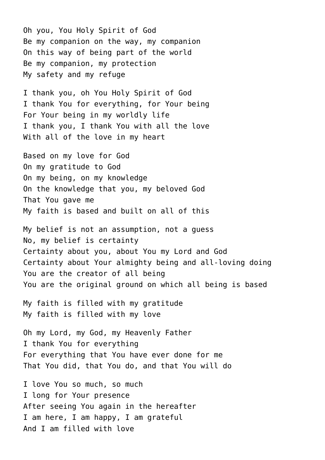Oh you, You Holy Spirit of God Be my companion on the way, my companion On this way of being part of the world Be my companion, my protection My safety and my refuge

I thank you, oh You Holy Spirit of God I thank You for everything, for Your being For Your being in my worldly life I thank you, I thank You with all the love With all of the love in my heart

Based on my love for God On my gratitude to God On my being, on my knowledge On the knowledge that you, my beloved God That You gave me My faith is based and built on all of this

My belief is not an assumption, not a guess No, my belief is certainty Certainty about you, about You my Lord and God Certainty about Your almighty being and all-loving doing You are the creator of all being You are the original ground on which all being is based

My faith is filled with my gratitude My faith is filled with my love

Oh my Lord, my God, my Heavenly Father I thank You for everything For everything that You have ever done for me That You did, that You do, and that You will do

I love You so much, so much I long for Your presence After seeing You again in the hereafter I am here, I am happy, I am grateful And I am filled with love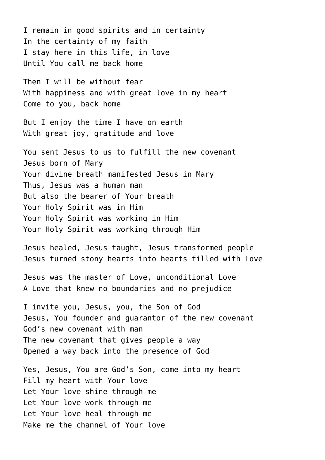I remain in good spirits and in certainty In the certainty of my faith I stay here in this life, in love Until You call me back home

Then I will be without fear With happiness and with great love in my heart Come to you, back home

But I enjoy the time I have on earth With great joy, gratitude and love

You sent Jesus to us to fulfill the new covenant Jesus born of Mary Your divine breath manifested Jesus in Mary Thus, Jesus was a human man But also the bearer of Your breath Your Holy Spirit was in Him Your Holy Spirit was working in Him Your Holy Spirit was working through Him

Jesus healed, Jesus taught, Jesus transformed people Jesus turned stony hearts into hearts filled with Love

Jesus was the master of Love, unconditional Love A Love that knew no boundaries and no prejudice

I invite you, Jesus, you, the Son of God Jesus, You founder and guarantor of the new covenant God's new covenant with man The new covenant that gives people a way Opened a way back into the presence of God

Yes, Jesus, You are God's Son, come into my heart Fill my heart with Your love Let Your love shine through me Let Your love work through me Let Your love heal through me Make me the channel of Your love